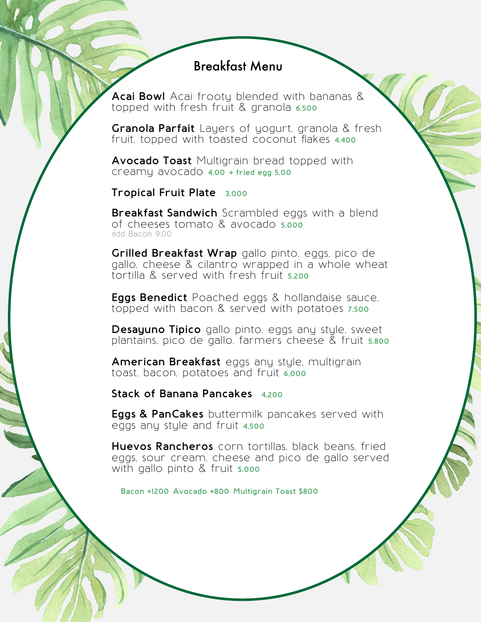## Breakfast Menu

**Acai Bowl** Acai frooty blended with bananas & topped with fresh fruit & granola **6,500**

**Granola Parfait** Layers of yogurt, granola & fresh fruit, topped with toasted coconut flakes **4,400**

**Avocado Toast** Multigrain bread topped with creamy avocado **4,00 + fried egg 5,00**

**Tropical Fruit Plate 3,000**

**Breakfast Sandwich** Scrambled eggs with a blend of cheeses tomato & avocado **5,000** add Bacon 9,00

**Grilled Breakfast Wrap** gallo pinto, eggs, pico de gallo, cheese & cilantro wrapped in a whole wheat tortilla & served with fresh fruit **5,200**

**Eggs Benedict** Poached eggs & hollandaise sauce, topped with bacon & served with potatoes **7,500**

**Desayuno Tipico** gallo pinto, eggs any style, sweet plantains, pico de gallo, farmers cheese & fruit **5,800**

**American Breakfast** eggs any style, multigrain toast, bacon, potatoes and fruit **6,000**

**Stack of Banana Pancakes 4,200**

**Eggs & PanCakes** buttermilk pancakes served with eggs any style and fruit **4,500**

**Huevos Rancheros** corn tortillas, black beans, fried eggs, sour cream, cheese and pico de gallo served with gallo pinto & fruit **5,000**

**Bacon +1200 Avocado +800 Multigrain Toast \$800**